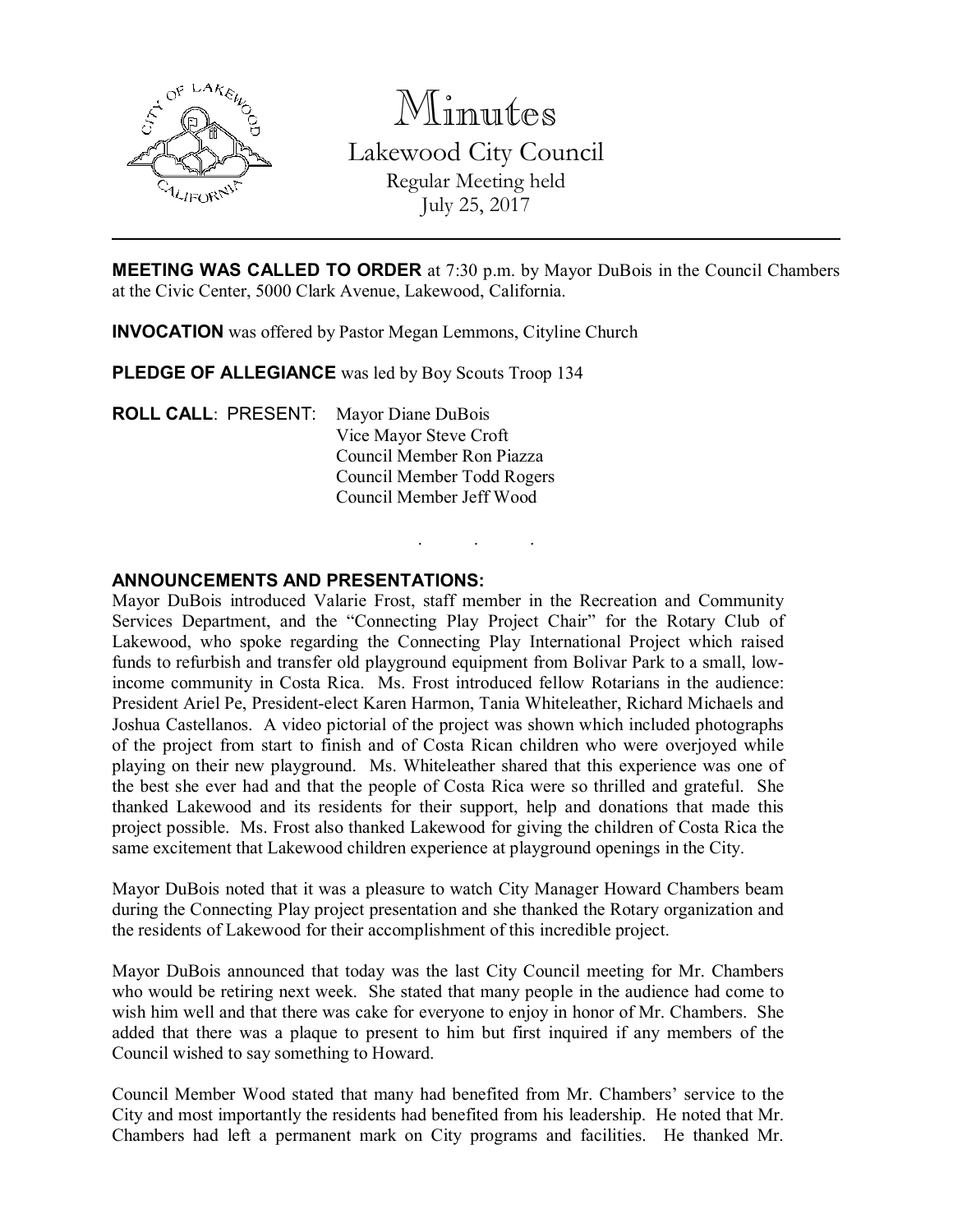

Minutes

Lakewood City Council Regular Meeting held July 25, 2017

**MEETING WAS CALLED TO ORDER** at 7:30 p.m. by Mayor DuBois in the Council Chambers at the Civic Center, 5000 Clark Avenue, Lakewood, California.

. . .

INVOCATION was offered by Pastor Megan Lemmons, Cityline Church

PLEDGE OF ALLEGIANCE was led by Boy Scouts Troop 134

ROLL CALL: PRESENT: Mayor Diane DuBois Vice Mayor Steve Croft Council Member Ron Piazza Council Member Todd Rogers Council Member Jeff Wood

## ANNOUNCEMENTS AND PRESENTATIONS:

Mayor DuBois introduced Valarie Frost, staff member in the Recreation and Community Services Department, and the "Connecting Play Project Chair" for the Rotary Club of Lakewood, who spoke regarding the Connecting Play International Project which raised funds to refurbish and transfer old playground equipment from Bolivar Park to a small, lowincome community in Costa Rica. Ms. Frost introduced fellow Rotarians in the audience: President Ariel Pe, President-elect Karen Harmon, Tania Whiteleather, Richard Michaels and Joshua Castellanos. A video pictorial of the project was shown which included photographs of the project from start to finish and of Costa Rican children who were overjoyed while playing on their new playground. Ms. Whiteleather shared that this experience was one of the best she ever had and that the people of Costa Rica were so thrilled and grateful. She thanked Lakewood and its residents for their support, help and donations that made this project possible. Ms. Frost also thanked Lakewood for giving the children of Costa Rica the same excitement that Lakewood children experience at playground openings in the City.

Mayor DuBois noted that it was a pleasure to watch City Manager Howard Chambers beam during the Connecting Play project presentation and she thanked the Rotary organization and the residents of Lakewood for their accomplishment of this incredible project.

Mayor DuBois announced that today was the last City Council meeting for Mr. Chambers who would be retiring next week. She stated that many people in the audience had come to wish him well and that there was cake for everyone to enjoy in honor of Mr. Chambers. She added that there was a plaque to present to him but first inquired if any members of the Council wished to say something to Howard.

Council Member Wood stated that many had benefited from Mr. Chambers' service to the City and most importantly the residents had benefited from his leadership. He noted that Mr. Chambers had left a permanent mark on City programs and facilities. He thanked Mr.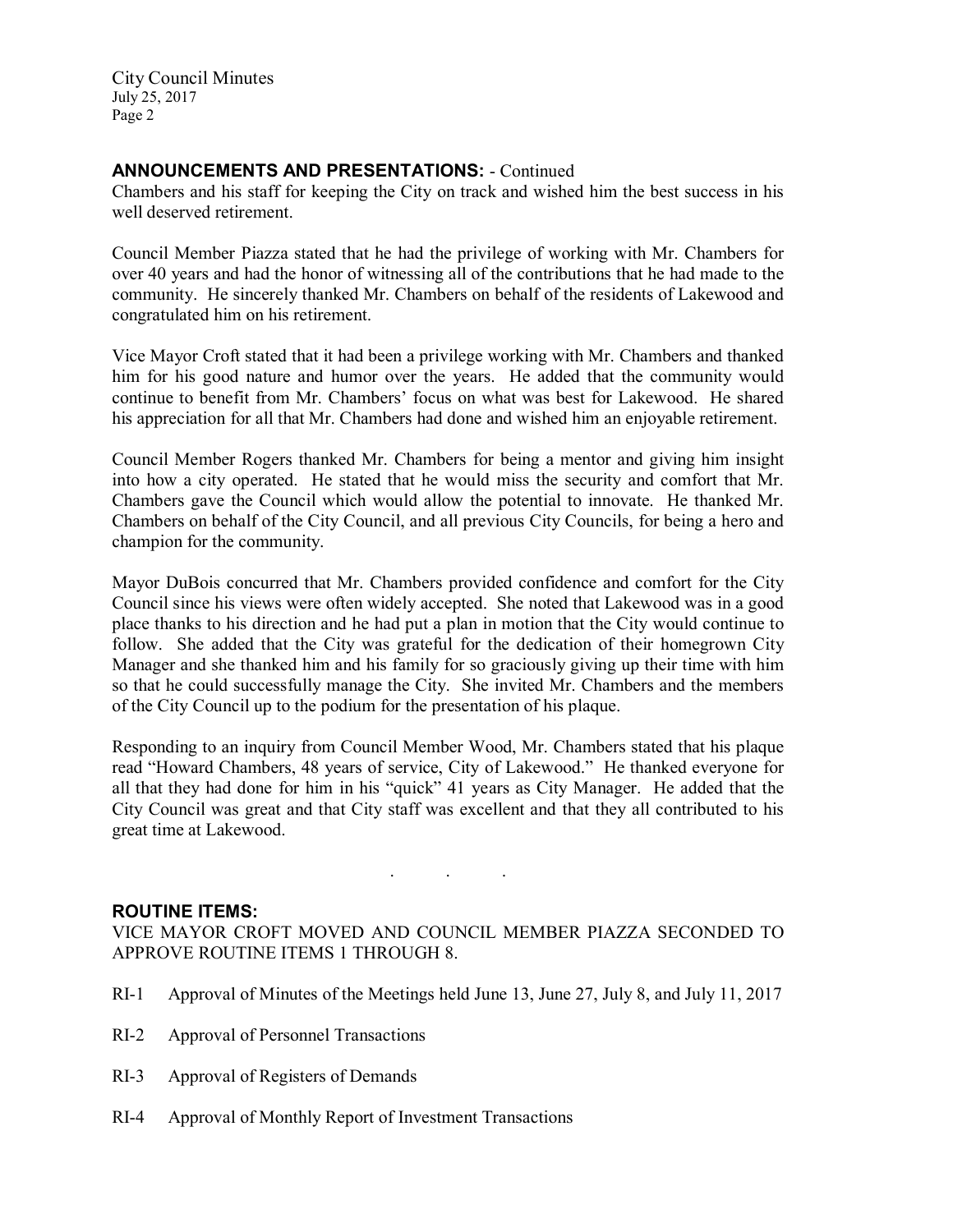# ANNOUNCEMENTS AND PRESENTATIONS: - Continued

Chambers and his staff for keeping the City on track and wished him the best success in his well deserved retirement.

Council Member Piazza stated that he had the privilege of working with Mr. Chambers for over 40 years and had the honor of witnessing all of the contributions that he had made to the community. He sincerely thanked Mr. Chambers on behalf of the residents of Lakewood and congratulated him on his retirement.

Vice Mayor Croft stated that it had been a privilege working with Mr. Chambers and thanked him for his good nature and humor over the years. He added that the community would continue to benefit from Mr. Chambers' focus on what was best for Lakewood. He shared his appreciation for all that Mr. Chambers had done and wished him an enjoyable retirement.

Council Member Rogers thanked Mr. Chambers for being a mentor and giving him insight into how a city operated. He stated that he would miss the security and comfort that Mr. Chambers gave the Council which would allow the potential to innovate. He thanked Mr. Chambers on behalf of the City Council, and all previous City Councils, for being a hero and champion for the community.

Mayor DuBois concurred that Mr. Chambers provided confidence and comfort for the City Council since his views were often widely accepted. She noted that Lakewood was in a good place thanks to his direction and he had put a plan in motion that the City would continue to follow. She added that the City was grateful for the dedication of their homegrown City Manager and she thanked him and his family for so graciously giving up their time with him so that he could successfully manage the City. She invited Mr. Chambers and the members of the City Council up to the podium for the presentation of his plaque.

Responding to an inquiry from Council Member Wood, Mr. Chambers stated that his plaque read "Howard Chambers, 48 years of service, City of Lakewood." He thanked everyone for all that they had done for him in his "quick" 41 years as City Manager. He added that the City Council was great and that City staff was excellent and that they all contributed to his great time at Lakewood.

#### ROUTINE ITEMS:

VICE MAYOR CROFT MOVED AND COUNCIL MEMBER PIAZZA SECONDED TO APPROVE ROUTINE ITEMS 1 THROUGH 8.

. . .

- RI-1 Approval of Minutes of the Meetings held June 13, June 27, July 8, and July 11, 2017
- RI-2 Approval of Personnel Transactions
- RI-3 Approval of Registers of Demands
- RI-4 Approval of Monthly Report of Investment Transactions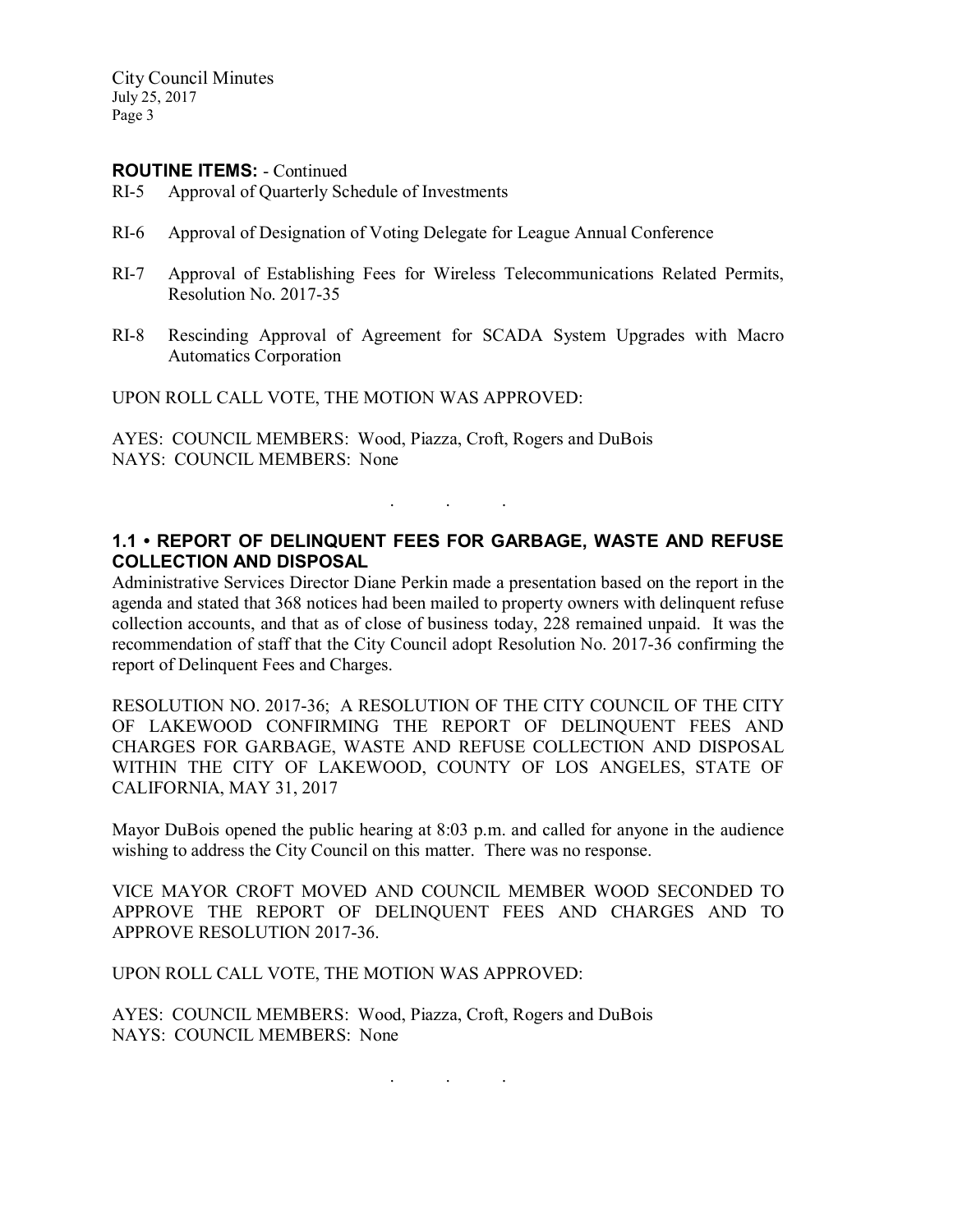#### ROUTINE ITEMS: - Continued

- RI-5 Approval of Quarterly Schedule of Investments
- RI-6 Approval of Designation of Voting Delegate for League Annual Conference
- RI-7 Approval of Establishing Fees for Wireless Telecommunications Related Permits, Resolution No. 2017-35
- RI-8 Rescinding Approval of Agreement for SCADA System Upgrades with Macro Automatics Corporation

UPON ROLL CALL VOTE, THE MOTION WAS APPROVED:

AYES: COUNCIL MEMBERS: Wood, Piazza, Croft, Rogers and DuBois NAYS: COUNCIL MEMBERS: None

# 1.1 • REPORT OF DELINQUENT FEES FOR GARBAGE, WASTE AND REFUSE COLLECTION AND DISPOSAL

. . .

Administrative Services Director Diane Perkin made a presentation based on the report in the agenda and stated that 368 notices had been mailed to property owners with delinquent refuse collection accounts, and that as of close of business today, 228 remained unpaid. It was the recommendation of staff that the City Council adopt Resolution No. 2017-36 confirming the report of Delinquent Fees and Charges.

RESOLUTION NO. 2017-36; A RESOLUTION OF THE CITY COUNCIL OF THE CITY OF LAKEWOOD CONFIRMING THE REPORT OF DELINQUENT FEES AND CHARGES FOR GARBAGE, WASTE AND REFUSE COLLECTION AND DISPOSAL WITHIN THE CITY OF LAKEWOOD, COUNTY OF LOS ANGELES, STATE OF CALIFORNIA, MAY 31, 2017

Mayor DuBois opened the public hearing at 8:03 p.m. and called for anyone in the audience wishing to address the City Council on this matter. There was no response.

VICE MAYOR CROFT MOVED AND COUNCIL MEMBER WOOD SECONDED TO APPROVE THE REPORT OF DELINQUENT FEES AND CHARGES AND TO APPROVE RESOLUTION 2017-36.

. . .

UPON ROLL CALL VOTE, THE MOTION WAS APPROVED:

AYES: COUNCIL MEMBERS: Wood, Piazza, Croft, Rogers and DuBois NAYS: COUNCIL MEMBERS: None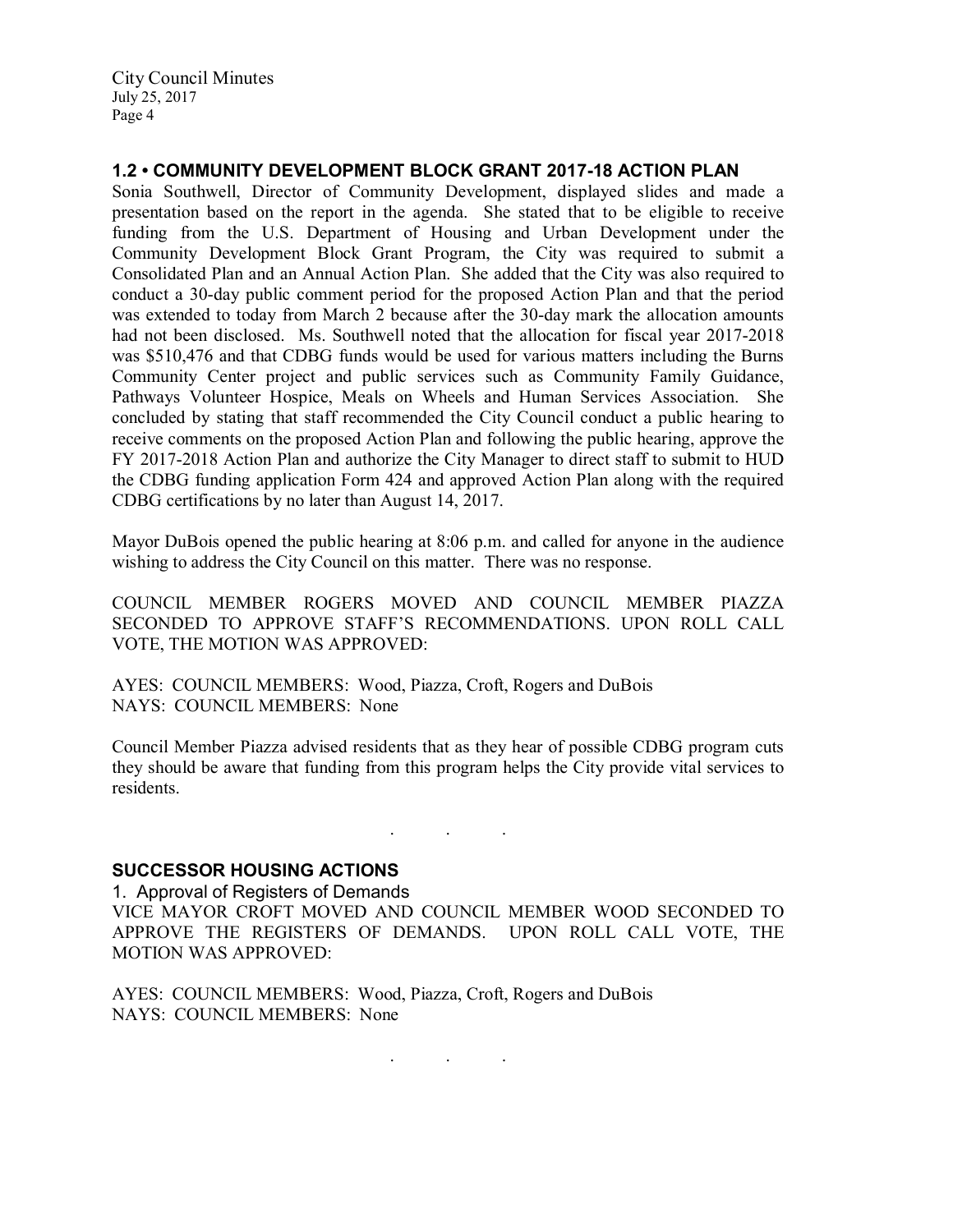## 1.2 • COMMUNITY DEVELOPMENT BLOCK GRANT 2017-18 ACTION PLAN

Sonia Southwell, Director of Community Development, displayed slides and made a presentation based on the report in the agenda. She stated that to be eligible to receive funding from the U.S. Department of Housing and Urban Development under the Community Development Block Grant Program, the City was required to submit a Consolidated Plan and an Annual Action Plan. She added that the City was also required to conduct a 30-day public comment period for the proposed Action Plan and that the period was extended to today from March 2 because after the 30-day mark the allocation amounts had not been disclosed. Ms. Southwell noted that the allocation for fiscal year 2017-2018 was \$510,476 and that CDBG funds would be used for various matters including the Burns Community Center project and public services such as Community Family Guidance, Pathways Volunteer Hospice, Meals on Wheels and Human Services Association. She concluded by stating that staff recommended the City Council conduct a public hearing to receive comments on the proposed Action Plan and following the public hearing, approve the FY 2017-2018 Action Plan and authorize the City Manager to direct staff to submit to HUD the CDBG funding application Form 424 and approved Action Plan along with the required CDBG certifications by no later than August 14, 2017.

Mayor DuBois opened the public hearing at 8:06 p.m. and called for anyone in the audience wishing to address the City Council on this matter. There was no response.

COUNCIL MEMBER ROGERS MOVED AND COUNCIL MEMBER PIAZZA SECONDED TO APPROVE STAFF'S RECOMMENDATIONS. UPON ROLL CALL VOTE, THE MOTION WAS APPROVED:

AYES: COUNCIL MEMBERS: Wood, Piazza, Croft, Rogers and DuBois NAYS: COUNCIL MEMBERS: None

Council Member Piazza advised residents that as they hear of possible CDBG program cuts they should be aware that funding from this program helps the City provide vital services to residents.

. . .

#### SUCCESSOR HOUSING ACTIONS

1. Approval of Registers of Demands VICE MAYOR CROFT MOVED AND COUNCIL MEMBER WOOD SECONDED TO APPROVE THE REGISTERS OF DEMANDS. UPON ROLL CALL VOTE, THE MOTION WAS APPROVED:

AYES: COUNCIL MEMBERS: Wood, Piazza, Croft, Rogers and DuBois NAYS: COUNCIL MEMBERS: None

. . .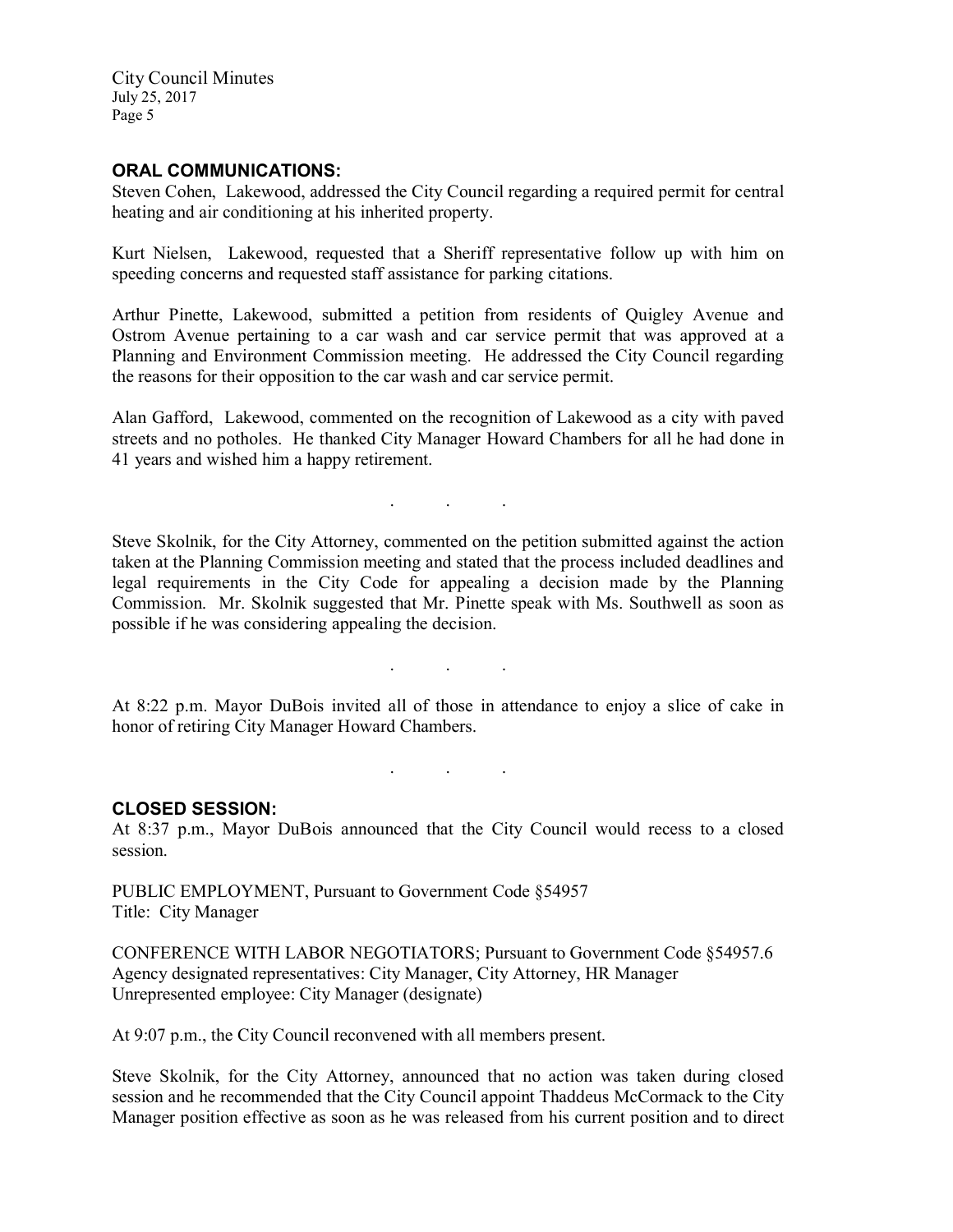#### ORAL COMMUNICATIONS:

Steven Cohen, Lakewood, addressed the City Council regarding a required permit for central heating and air conditioning at his inherited property.

Kurt Nielsen, Lakewood, requested that a Sheriff representative follow up with him on speeding concerns and requested staff assistance for parking citations.

Arthur Pinette, Lakewood, submitted a petition from residents of Quigley Avenue and Ostrom Avenue pertaining to a car wash and car service permit that was approved at a Planning and Environment Commission meeting. He addressed the City Council regarding the reasons for their opposition to the car wash and car service permit.

Alan Gafford, Lakewood, commented on the recognition of Lakewood as a city with paved streets and no potholes. He thanked City Manager Howard Chambers for all he had done in 41 years and wished him a happy retirement.

. . .

Steve Skolnik, for the City Attorney, commented on the petition submitted against the action taken at the Planning Commission meeting and stated that the process included deadlines and legal requirements in the City Code for appealing a decision made by the Planning Commission. Mr. Skolnik suggested that Mr. Pinette speak with Ms. Southwell as soon as possible if he was considering appealing the decision.

At 8:22 p.m. Mayor DuBois invited all of those in attendance to enjoy a slice of cake in honor of retiring City Manager Howard Chambers.

. . .

. . .

#### CLOSED SESSION:

At 8:37 p.m., Mayor DuBois announced that the City Council would recess to a closed session.

PUBLIC EMPLOYMENT, Pursuant to Government Code §54957 Title: City Manager

CONFERENCE WITH LABOR NEGOTIATORS; Pursuant to Government Code §54957.6 Agency designated representatives: City Manager, City Attorney, HR Manager Unrepresented employee: City Manager (designate)

At 9:07 p.m., the City Council reconvened with all members present.

Steve Skolnik, for the City Attorney, announced that no action was taken during closed session and he recommended that the City Council appoint Thaddeus McCormack to the City Manager position effective as soon as he was released from his current position and to direct